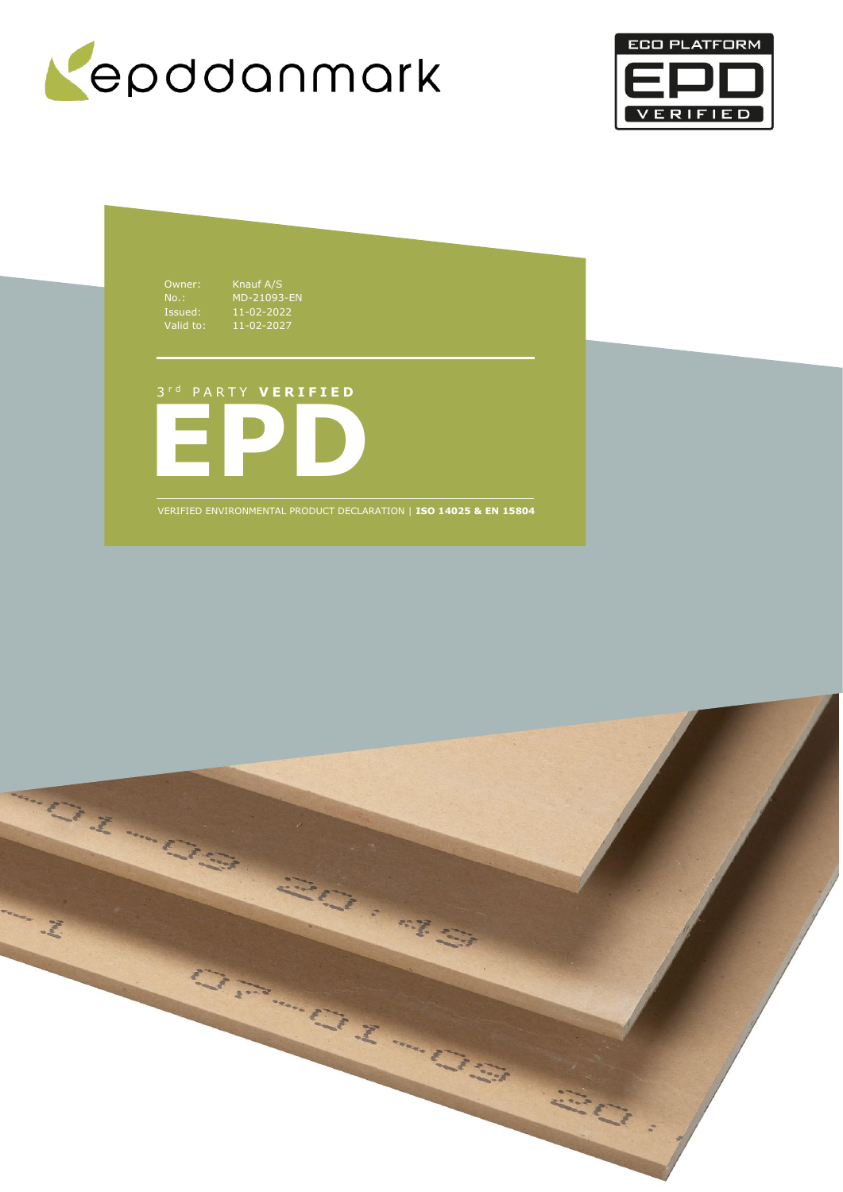



Owner: Knauf A/S<br>
No.: MD-21093<br>
Issued: 11-02-202<br>
Valid to: 11-02-202 No.: MD-21093-EN Issued: 11-02-2022 Valid to: 11-02-2027

**EPD** 3 r d P A R T Y **V E R I F I E D**

VERIFIED ENVIRONMENTAL PRODUCT DECLARATION | **ISO 14025 & EN 15804**

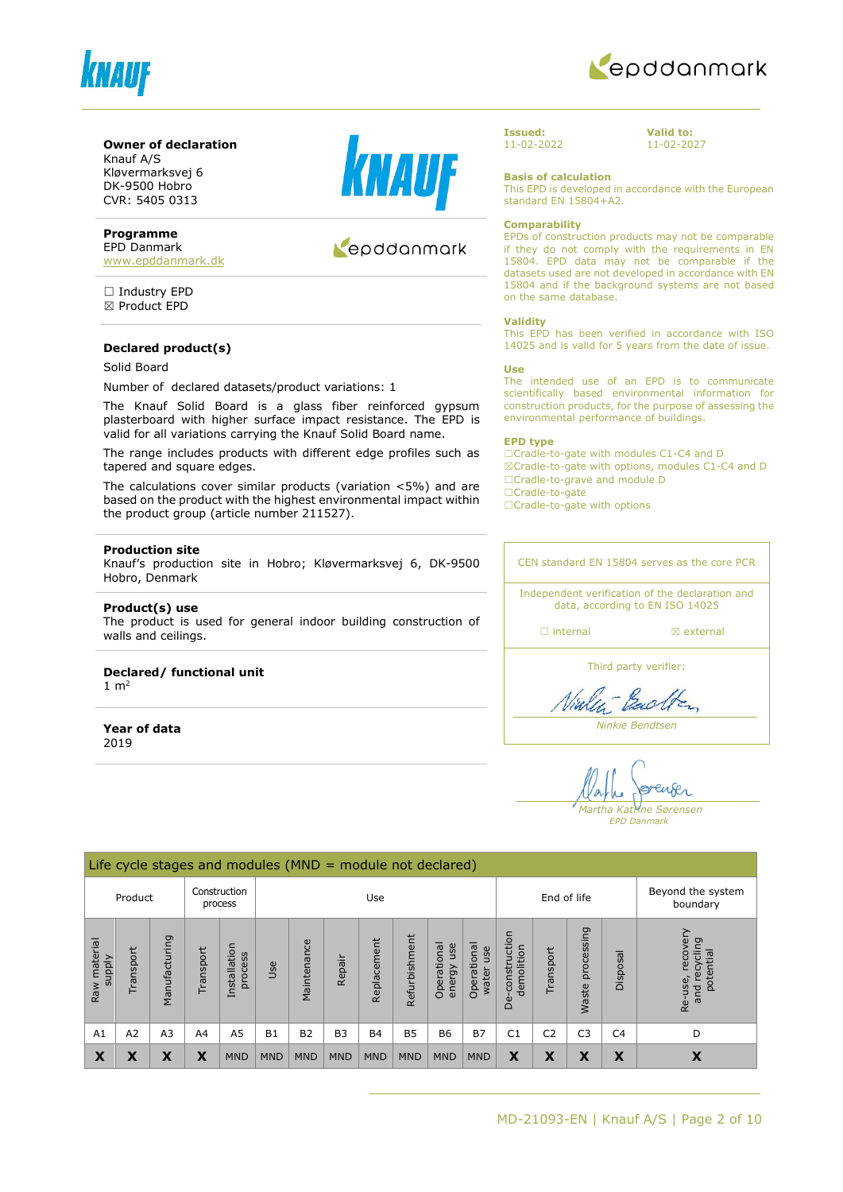



#### **Owner of declaration**

Knauf A/S Kløvermarksvej 6 DK-9500 Hobro CVR: 5405 0313

#### **Programme**

EPD Danmark [www.epddanmark.dk](http://www.epddanmark.dk/)

□ Industry EPD ☒ Product EPD

#### **Declared product(s)**

# Solid Board

Number of declared datasets/product variations: 1

The Knauf Solid Board is a glass fiber reinforced gypsum plasterboard with higher surface impact resistance. The EPD is valid for all variations carrying the Knauf Solid Board name.

The range includes products with different edge profiles such as tapered and square edges.

The calculations cover similar products (variation <5%) and are based on the product with the highest environmental impact within the product group (article number 211527).

#### **Production site**

Knauf's production site in Hobro; Kløvermarksvej 6, DK-9500 Hobro, Denmark

#### **Product(s) use**

The product is used for general indoor building construction of walls and ceilings.

# **Declared/ functional unit**

1  $m<sup>2</sup>$ 

**Year of data** 2019



# epddanmark

**Issued:** 11-02-2022 **Valid to:** 11-02-2027

**Basis of calculation**

This EPD is developed in accordance with the European standard EN 15804+A2.

#### **Comparability**

EPDs of construction products may not be comparable if they do not comply with the requirements in EN 15804. EPD data may not be comparable if the datasets used are not developed in accordance with EN 15804 and if the background systems are not based on the same database.

#### **Validity**

This EPD has been verified in accordance with ISO 14025 and is valid for 5 years from the date of issue.

#### **Use**

The intended use of an EPD is to communicate scientifically based environmental information for construction products, for the purpose of assessing the environmental performance of buildings.

#### **EPD type**

☐Cradle-to-gate with modules C1-C4 and D ☒Cradle-to-gate with options, modules C1-C4 and D ☐Cradle-to-grave and module D ☐Cradle-to-gate

□Cradle-to-gate with options

CEN standard EN 15804 serves as the core PCR

Independent verification of the declaration and data, according to EN ISO 14025

□ internal **a** external

Third party verifier:

Viales Each

*Ninkie Bendtsen*

enser *Martha Katrine Sørensen*

*EPD Danmark*

|                               | Life cycle stages and modules $(MND = module not declared)$ |                |                |                         |            |                    |                |                               |               |                           |                             |                                 |                |                     |                |                                                    |
|-------------------------------|-------------------------------------------------------------|----------------|----------------|-------------------------|------------|--------------------|----------------|-------------------------------|---------------|---------------------------|-----------------------------|---------------------------------|----------------|---------------------|----------------|----------------------------------------------------|
|                               | Product                                                     |                |                | Construction<br>process |            | End of life<br>Use |                | Beyond the system<br>boundary |               |                           |                             |                                 |                |                     |                |                                                    |
| Raw material<br><b>Alddns</b> | Transport                                                   | Manufacturing  | Transport      | Installation<br>process | Use        | Maintenance        | Repair         | Replacement                   | Refurbishment | Operational<br>energy use | Operational<br>use<br>water | construction<br>demolition<br>å | Transport      | processing<br>Waste | Disposal       | recove<br>recycling<br>potential<br>Re-use,<br>and |
| A1                            | A <sub>2</sub>                                              | A <sub>3</sub> | A <sub>4</sub> | A5                      | <b>B1</b>  | <b>B2</b>          | B <sub>3</sub> | <b>B4</b>                     | <b>B5</b>     | <b>B6</b>                 | <b>B7</b>                   | C <sub>1</sub>                  | C <sub>2</sub> | C <sub>3</sub>      | C <sub>4</sub> | D                                                  |
| X                             | Х                                                           | X              | X              | <b>MND</b>              | <b>MND</b> | <b>MND</b>         | <b>MND</b>     | <b>MND</b>                    | <b>MND</b>    | <b>MND</b>                | <b>MND</b>                  | X                               | X              | X                   | X              | X                                                  |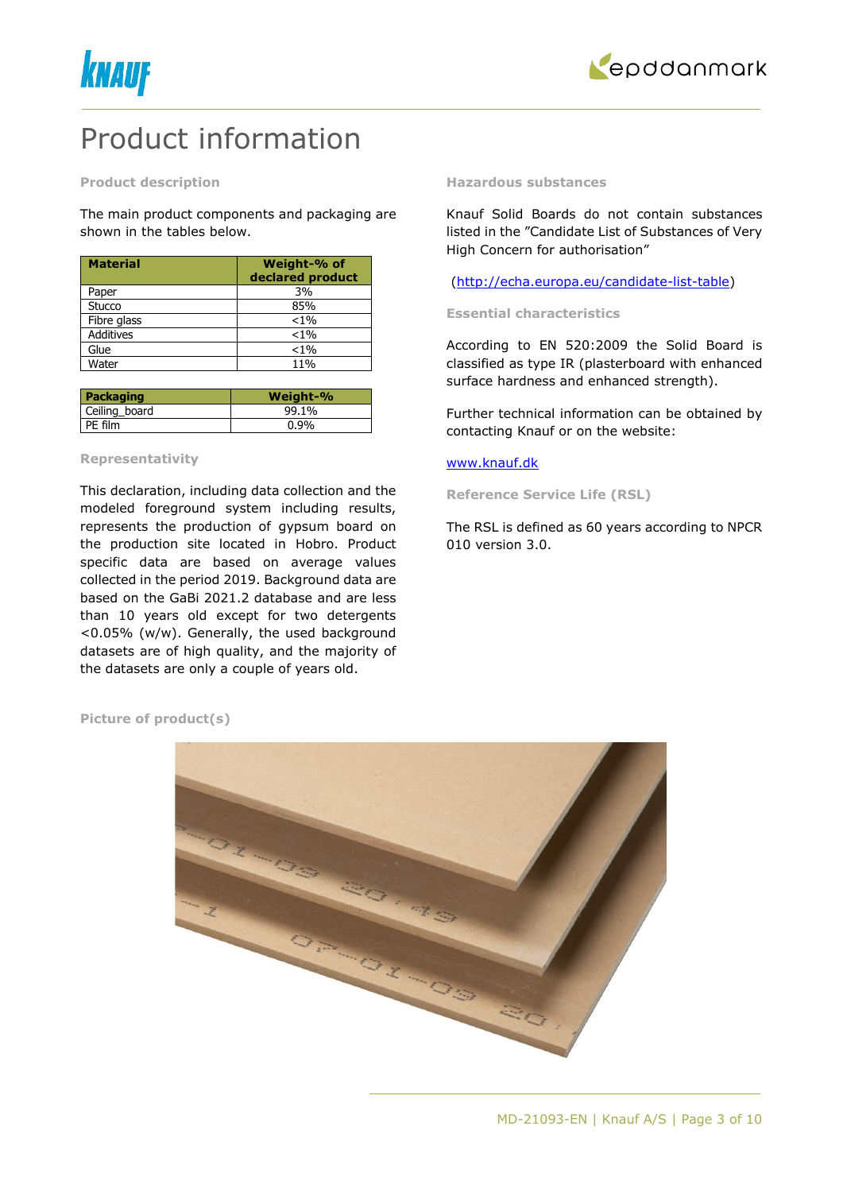



# Product information

#### **Product description**

The main product components and packaging are shown in the tables below.

| <b>Material</b>  | Weight-% of<br>declared product |
|------------------|---------------------------------|
| Paper            | 3%                              |
| Stucco           | 85%                             |
| Fibre glass      | $< 1\%$                         |
| <b>Additives</b> | $< 1\%$                         |
| Glue             | $< 1\%$                         |
| Water            | 11%                             |

| Packaging     | Weight-% |
|---------------|----------|
| Ceiling board | 99.1%    |
| PE film       | $0.9\%$  |

#### **Representativity**

This declaration, including data collection and the modeled foreground system including results, represents the production of gypsum board on the production site located in Hobro. Product specific data are based on average values collected in the period 2019. Background data are based on the GaBi 2021.2 database and are less than 10 years old except for two detergents <0.05% (w/w). Generally, the used background datasets are of high quality, and the majority of the datasets are only a couple of years old.

#### **Hazardous substances**

Knauf Solid Boards do not contain substances listed in the "Candidate List of Substances of Very High Concern for authorisation"

[\(http://echa.europa.eu/candidate-list-table\)](http://echa.europa.eu/candidate-list-table)

#### **Essential characteristics**

According to EN 520:2009 the Solid Board is classified as type IR (plasterboard with enhanced surface hardness and enhanced strength).

Further technical information can be obtained by contacting Knauf or on the website:

# [www.knauf.dk](http://www.knauf.dk/)

**Reference Service Life (RSL)**

The RSL is defined as 60 years according to NPCR 010 version 3.0.

**Picture of product(s)**

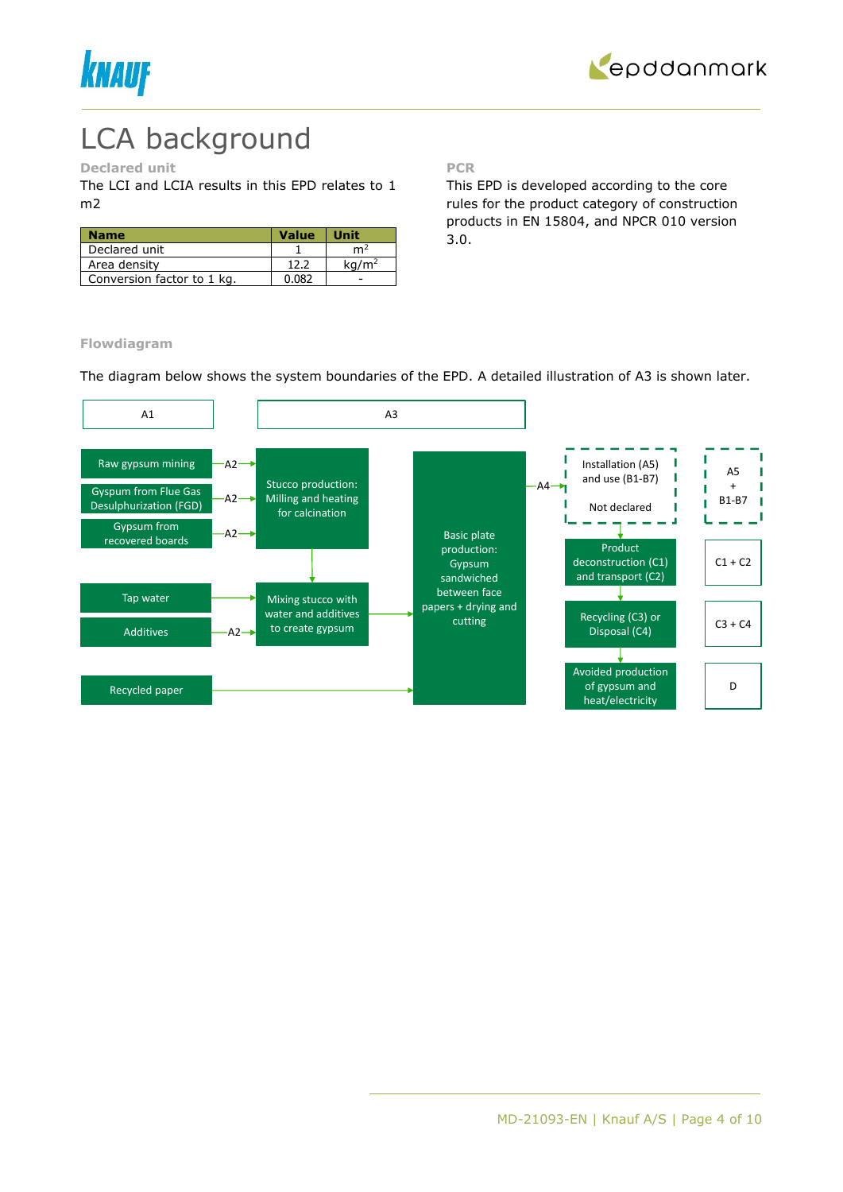



# LCA background

# **Declared unit**

The LCI and LCIA results in this EPD relates to 1 m2

| <b>Name</b>                | <b>Value</b> | <b>Unit</b>       |
|----------------------------|--------------|-------------------|
| Declared unit              |              | m4                |
| Area density               | 12.2         | ka/m <sup>2</sup> |
| Conversion factor to 1 kg. | 0.082        |                   |

**PCR**

This EPD is developed according to the core rules for the product category of construction products in EN 15804, and NPCR 010 version 3.0.

**Flowdiagram**

The diagram below shows the system boundaries of the EPD. A detailed illustration of A3 is shown later.

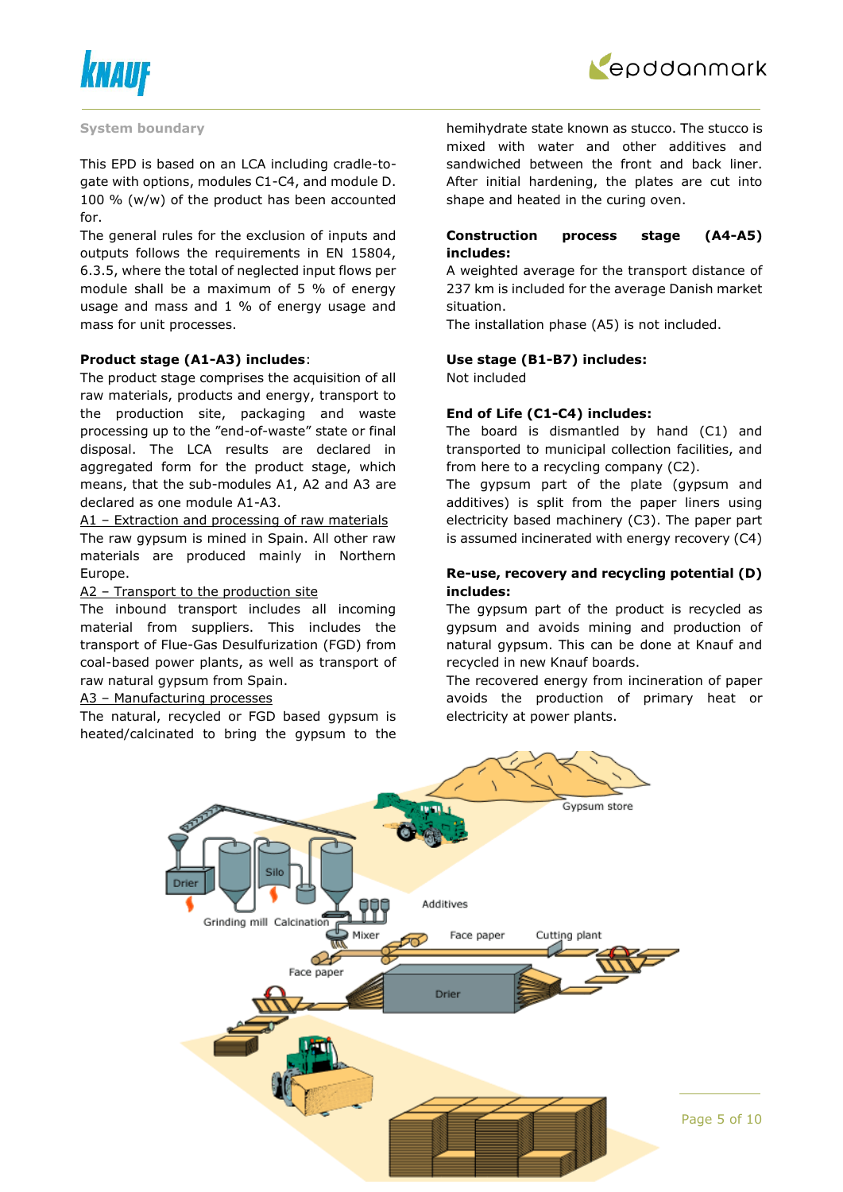



#### **System boundary**

This EPD is based on an LCA including cradle-togate with options, modules C1-C4, and module D. 100 % (w/w) of the product has been accounted for.

The general rules for the exclusion of inputs and outputs follows the requirements in EN 15804, 6.3.5, where the total of neglected input flows per module shall be a maximum of 5 % of energy usage and mass and 1 % of energy usage and mass for unit processes.

#### **Product stage (A1-A3) includes**:

The product stage comprises the acquisition of all raw materials, products and energy, transport to the production site, packaging and waste processing up to the "end-of-waste" state or final disposal. The LCA results are declared in aggregated form for the product stage, which means, that the sub-modules A1, A2 and A3 are declared as one module A1-A3.

A1 – Extraction and processing of raw materials The raw gypsum is mined in Spain. All other raw materials are produced mainly in Northern Europe.

#### A2 – Transport to the production site

The inbound transport includes all incoming material from suppliers. This includes the transport of Flue-Gas Desulfurization (FGD) from coal-based power plants, as well as transport of raw natural gypsum from Spain.

#### A3 – Manufacturing processes

The natural, recycled or FGD based gypsum is heated/calcinated to bring the gypsum to the hemihydrate state known as stucco. The stucco is mixed with water and other additives and sandwiched between the front and back liner. After initial hardening, the plates are cut into shape and heated in the curing oven.

# **Construction process stage (A4-A5) includes:**

A weighted average for the transport distance of 237 km is included for the average Danish market situation.

The installation phase (A5) is not included.

#### **Use stage (B1-B7) includes:**

Not included

### **End of Life (C1-C4) includes:**

The board is dismantled by hand (C1) and transported to municipal collection facilities, and from here to a recycling company (C2).

The gypsum part of the plate (gypsum and additives) is split from the paper liners using electricity based machinery (C3). The paper part is assumed incinerated with energy recovery (C4)

# **Re-use, recovery and recycling potential (D) includes:**

The gypsum part of the product is recycled as gypsum and avoids mining and production of natural gypsum. This can be done at Knauf and recycled in new Knauf boards.

The recovered energy from incineration of paper avoids the production of primary heat or electricity at power plants.

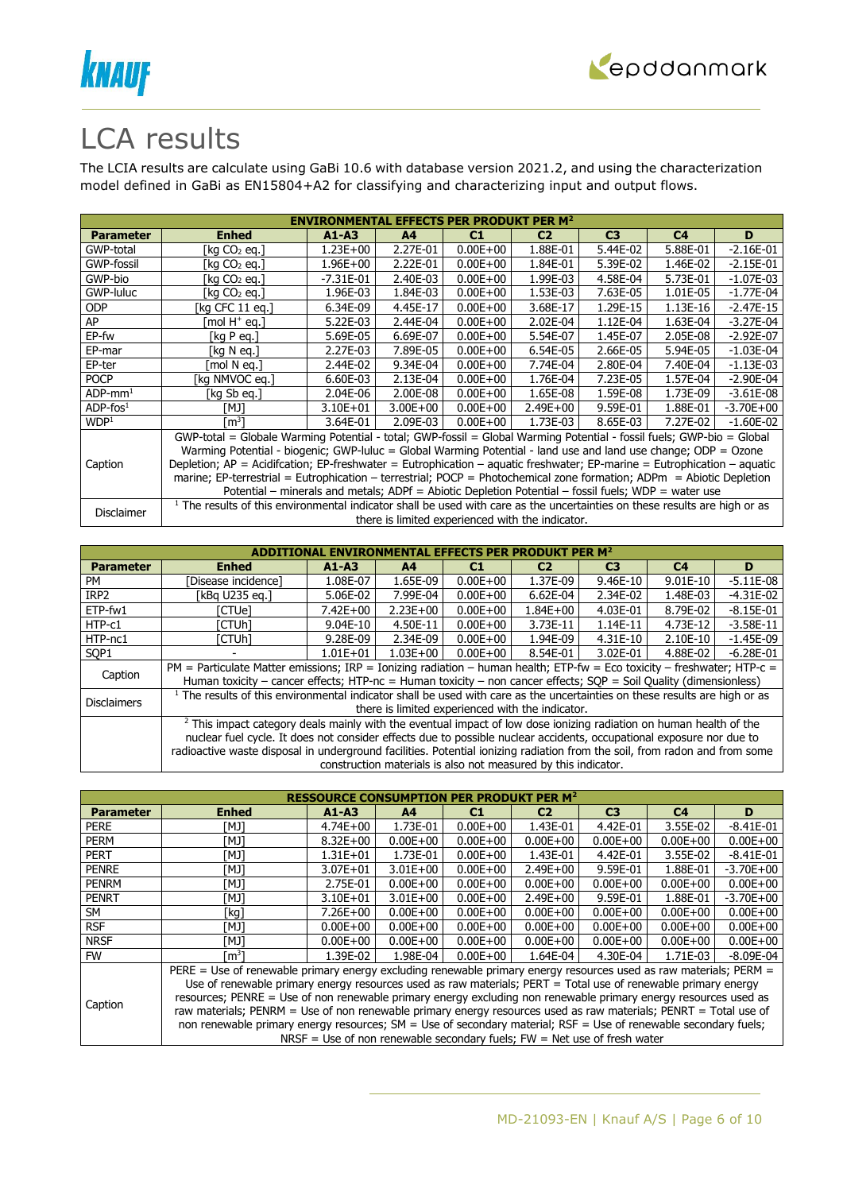



# LCA results

The LCIA results are calculate using GaBi 10.6 with database version 2021.2, and using the characterization model defined in GaBi as EN15804+A2 for classifying and characterizing input and output flows.

| <b>ENVIRONMENTAL EFFECTS PER PRODUKT PER M<sup>2</sup></b> |                                                                                                                                       |             |                |              |                                                  |                |                |               |  |  |
|------------------------------------------------------------|---------------------------------------------------------------------------------------------------------------------------------------|-------------|----------------|--------------|--------------------------------------------------|----------------|----------------|---------------|--|--|
| <b>Parameter</b>                                           | <b>Enhed</b>                                                                                                                          | $A1 - A3$   | A <sup>4</sup> | C1           | C <sub>2</sub>                                   | C <sub>3</sub> | C <sub>4</sub> | D             |  |  |
| GWP-total                                                  | [kg CO2 eg.]                                                                                                                          | 1.23E+00    | 2.27E-01       | $0.00E + 00$ | 1.88E-01                                         | 5.44E-02       | 5.88E-01       | $-2.16E-01$   |  |  |
| GWP-fossil                                                 | [kg CO2 eg.]                                                                                                                          | 1.96E+00    | 2.22E-01       | $0.00E + 00$ | 1.84E-01                                         | 5.39E-02       | 1.46E-02       | $-2.15E-01$   |  |  |
| GWP-bio                                                    | [kg CO2 eg.]                                                                                                                          | $-7.31E-01$ | 2.40E-03       | $0.00E + 00$ | 1.99E-03                                         | 4.58E-04       | 5.73E-01       | $-1.07E-03$   |  |  |
| GWP-luluc                                                  | [kg CO2 eg.]                                                                                                                          | 1.96E-03    | 1.84E-03       | $0.00E + 00$ | 1.53E-03                                         | 7.63E-05       | 1.01E-05       | $-1.77E-04$   |  |  |
| <b>ODP</b>                                                 | [kg CFC 11 eg.]                                                                                                                       | 6.34E-09    | 4.45E-17       | $0.00E + 00$ | 3.68E-17                                         | 1.29E-15       | 1.13E-16       | $-2.47E-15$   |  |  |
| AP                                                         | mol H <sup>+</sup> eq.1                                                                                                               | 5.22E-03    | 2.44E-04       | $0.00E + 00$ | 2.02E-04                                         | 1.12E-04       | 1.63E-04       | $-3.27E-04$   |  |  |
| EP-fw                                                      | [kg P eg.]                                                                                                                            | 5.69E-05    | 6.69E-07       | $0.00E + 00$ | 5.54E-07                                         | 1.45E-07       | 2.05E-08       | $-2.92E-07$   |  |  |
| EP-mar                                                     | [kg N eg.]                                                                                                                            | 2.27E-03    | 7.89E-05       | $0.00E + 00$ | 6.54E-05                                         | 2.66E-05       | 5.94E-05       | $-1.03E-04$   |  |  |
| EP-ter                                                     | [mol N ea.]                                                                                                                           | 2.44E-02    | 9.34E-04       | $0.00E + 00$ | 7.74E-04                                         | 2.80E-04       | 7.40E-04       | $-1.13E-03$   |  |  |
| <b>POCP</b>                                                | [kg NMVOC eg.]                                                                                                                        | 6.60E-03    | 2.13E-04       | $0.00E + 00$ | 1.76E-04                                         | 7.23E-05       | 1.57E-04       | $-2.90E-04$   |  |  |
| $ADP$ -mm <sup>1</sup>                                     | [kg Sb eg.]                                                                                                                           | 2.04E-06    | 2.00E-08       | $0.00E + 00$ | 1.65E-08                                         | 1.59E-08       | 1.73E-09       | $-3.61E-08$   |  |  |
| $ADP$ -fos $1$                                             | TMJ1                                                                                                                                  | 3.10E+01    | $3.00E + 00$   | $0.00E + 00$ | $2.49E + 00$                                     | 9.59E-01       | 1.88E-01       | $-3.70E + 00$ |  |  |
| WDP <sup>1</sup>                                           | [m $^3$ ]                                                                                                                             | 3.64E-01    | 2.09E-03       | $0.00E + 00$ | 1.73E-03                                         | 8.65E-03       | 7.27E-02       | $-1.60E-02$   |  |  |
|                                                            | GWP-total = Globale Warming Potential - total; GWP-fossil = Global Warming Potential - fossil fuels; GWP-bio = Global                 |             |                |              |                                                  |                |                |               |  |  |
|                                                            | Warming Potential - biogenic; GWP-luluc = Global Warming Potential - land use and land use change; ODP = Ozone                        |             |                |              |                                                  |                |                |               |  |  |
| Caption                                                    | Depletion; $AP =$ Acidifcation; EP-freshwater = Eutrophication – aquatic freshwater; EP-marine = Eutrophication – aquatic             |             |                |              |                                                  |                |                |               |  |  |
|                                                            | marine; EP-terrestrial = Eutrophication - terrestrial; POCP = Photochemical zone formation; ADPm = Abiotic Depletion                  |             |                |              |                                                  |                |                |               |  |  |
|                                                            | Potential – minerals and metals; ADPf = Abiotic Depletion Potential – fossil fuels; WDP = water use                                   |             |                |              |                                                  |                |                |               |  |  |
|                                                            | <sup>1</sup> The results of this environmental indicator shall be used with care as the uncertainties on these results are high or as |             |                |              |                                                  |                |                |               |  |  |
| Disclaimer                                                 |                                                                                                                                       |             |                |              | there is limited experienced with the indicator. |                |                |               |  |  |

|                    |                                                                                                                         |              |                |                | ITAL EFFECTS PER PRODUKT PER M $^{\rm 2}$                      |                                                                                                                                                                                                                                                                                                                                                                                                                                                                                                                                                                                                                                                   |                |               |  |  |
|--------------------|-------------------------------------------------------------------------------------------------------------------------|--------------|----------------|----------------|----------------------------------------------------------------|---------------------------------------------------------------------------------------------------------------------------------------------------------------------------------------------------------------------------------------------------------------------------------------------------------------------------------------------------------------------------------------------------------------------------------------------------------------------------------------------------------------------------------------------------------------------------------------------------------------------------------------------------|----------------|---------------|--|--|
| <b>Parameter</b>   | <b>Enhed</b>                                                                                                            | $A1 - A3$    | A <sub>4</sub> | C <sub>1</sub> | C <sub>2</sub>                                                 | C <sub>3</sub>                                                                                                                                                                                                                                                                                                                                                                                                                                                                                                                                                                                                                                    | C <sub>4</sub> | D             |  |  |
| <b>PM</b>          | Disease incidence1                                                                                                      | 1.08E-07     | 1.65E-09       | $0.00E + 00$   | 1.37E-09                                                       | 9.46E-10                                                                                                                                                                                                                                                                                                                                                                                                                                                                                                                                                                                                                                          | $9.01E-10$     | $-5.11E-08$   |  |  |
| IRP <sub>2</sub>   | [kBq U235 eq.]                                                                                                          | 5.06E-02     | 7.99E-04       | $0.00E + 00$   | $6.62E-04$                                                     | 2.34E-02                                                                                                                                                                                                                                                                                                                                                                                                                                                                                                                                                                                                                                          | 1.48E-03       | $-4.31E-02$   |  |  |
| ETP-fw1            | [CTUe]                                                                                                                  | $7.42E + 00$ | $2.23E + 00$   | $0.00E + 00$   | $1.84E + 00$                                                   | 4.03E-01                                                                                                                                                                                                                                                                                                                                                                                                                                                                                                                                                                                                                                          | 8.79E-02       | $-8.15E-01$   |  |  |
| HTP-c1             | [CTUh]                                                                                                                  | 9.04E-10     | 4.50E-11       | $0.00E + 00$   | 3.73E-11                                                       | $1.14E-11$                                                                                                                                                                                                                                                                                                                                                                                                                                                                                                                                                                                                                                        | 4.73E-12       | $-3.58E-11$   |  |  |
| HTP-nc1            | [CTUh]                                                                                                                  | 9.28E-09     | 2.34E-09       | $0.00E + 00$   | 1.94E-09                                                       | 4.31E-10                                                                                                                                                                                                                                                                                                                                                                                                                                                                                                                                                                                                                                          | 2.10E-10       | $-1.45E-09$   |  |  |
| SOP <sub>1</sub>   |                                                                                                                         | $1.01E + 01$ | $1.03E + 00$   | $0.00E + 00$   | 8.54E-01                                                       | 3.02E-01                                                                                                                                                                                                                                                                                                                                                                                                                                                                                                                                                                                                                                          | 4.88E-02       | $-6.28E - 01$ |  |  |
| Caption            | PM = Particulate Matter emissions; IRP = Ionizing radiation – human health; ETP-fw = Eco toxicity – freshwater; HTP-c = |              |                |                |                                                                |                                                                                                                                                                                                                                                                                                                                                                                                                                                                                                                                                                                                                                                   |                |               |  |  |
|                    |                                                                                                                         |              |                |                |                                                                | Human toxicity – cancer effects; HTP-nc = Human toxicity – non cancer effects; SOP = Soil Quality (dimensionless)<br><sup>1</sup> The results of this environmental indicator shall be used with care as the uncertainties on these results are high or as<br><sup>2</sup> This impact category deals mainly with the eventual impact of low dose ionizing radiation on human health of the<br>nuclear fuel cycle. It does not consider effects due to possible nuclear accidents, occupational exposure nor due to<br>radioactive waste disposal in underground facilities. Potential ionizing radiation from the soil, from radon and from some |                |               |  |  |
| <b>Disclaimers</b> |                                                                                                                         |              |                |                |                                                                |                                                                                                                                                                                                                                                                                                                                                                                                                                                                                                                                                                                                                                                   |                |               |  |  |
|                    |                                                                                                                         |              |                |                | there is limited experienced with the indicator.               |                                                                                                                                                                                                                                                                                                                                                                                                                                                                                                                                                                                                                                                   |                |               |  |  |
|                    |                                                                                                                         |              |                |                |                                                                |                                                                                                                                                                                                                                                                                                                                                                                                                                                                                                                                                                                                                                                   |                |               |  |  |
|                    |                                                                                                                         |              |                |                |                                                                |                                                                                                                                                                                                                                                                                                                                                                                                                                                                                                                                                                                                                                                   |                |               |  |  |
|                    |                                                                                                                         |              |                |                |                                                                |                                                                                                                                                                                                                                                                                                                                                                                                                                                                                                                                                                                                                                                   |                |               |  |  |
|                    |                                                                                                                         |              |                |                | construction materials is also not measured by this indicator. |                                                                                                                                                                                                                                                                                                                                                                                                                                                                                                                                                                                                                                                   |                |               |  |  |

| <b>RESSOURCE CONSUMPTION PER PRODUKT PER M<sup>2</sup></b> |                                                                                                               |              |                |                                                                                                                                                                                                                                                                                                                                                                                                                                                                                                                                                           |                |                |              |               |  |  |
|------------------------------------------------------------|---------------------------------------------------------------------------------------------------------------|--------------|----------------|-----------------------------------------------------------------------------------------------------------------------------------------------------------------------------------------------------------------------------------------------------------------------------------------------------------------------------------------------------------------------------------------------------------------------------------------------------------------------------------------------------------------------------------------------------------|----------------|----------------|--------------|---------------|--|--|
| <b>Parameter</b>                                           | <b>Enhed</b>                                                                                                  | $A1 - A3$    | A <sub>4</sub> | C1                                                                                                                                                                                                                                                                                                                                                                                                                                                                                                                                                        | C <sub>2</sub> | C <sub>3</sub> | C4           | D             |  |  |
| <b>PERE</b>                                                | ונאז                                                                                                          | $4.74E + 00$ | 1.73E-01       | $0.00E + 00$                                                                                                                                                                                                                                                                                                                                                                                                                                                                                                                                              | 1.43E-01       | 4.42E-01       | 3.55E-02     | $-8.41E-01$   |  |  |
| <b>PERM</b>                                                | ונאז                                                                                                          | $8.32E + 00$ | $0.00E + 00$   | $0.00E + 00$                                                                                                                                                                                                                                                                                                                                                                                                                                                                                                                                              | $0.00E + 00$   | $0.00E + 00$   | $0.00E + 00$ | $0.00E + 00$  |  |  |
| <b>PERT</b>                                                | [MJ]                                                                                                          | $1.31E + 01$ | 1.73E-01       | $0.00E + 00$                                                                                                                                                                                                                                                                                                                                                                                                                                                                                                                                              | 1.43E-01       | 4.42E-01       | 3.55E-02     | $-8.41E-01$   |  |  |
| <b>PENRE</b>                                               | ונאז                                                                                                          | $3.07E + 01$ | $3.01E + 00$   | $0.00E + 00$                                                                                                                                                                                                                                                                                                                                                                                                                                                                                                                                              | $2.49E + 00$   | 9.59E-01       | 1.88E-01     | $-3.70E + 00$ |  |  |
| <b>PENRM</b>                                               | TMJ1                                                                                                          | 2.75E-01     | $0.00E + 00$   | $0.00E + 00$                                                                                                                                                                                                                                                                                                                                                                                                                                                                                                                                              | $0.00E + 00$   | $0.00E + 00$   | $0.00E + 00$ | $0.00E + 00$  |  |  |
| <b>PENRT</b>                                               | [MJ]                                                                                                          | $3.10E + 01$ | $3.01E + 00$   | $0.00E + 00$                                                                                                                                                                                                                                                                                                                                                                                                                                                                                                                                              | $2.49E + 00$   | 9.59E-01       | 1.88E-01     | $-3.70E + 00$ |  |  |
| SM                                                         | 「kg]                                                                                                          | $7.26E + 00$ | $0.00E + 00$   | $0.00E + 00$                                                                                                                                                                                                                                                                                                                                                                                                                                                                                                                                              | $0.00E + 00$   | $0.00E + 00$   | $0.00E + 00$ | $0.00E + 00$  |  |  |
| <b>RSF</b>                                                 | [MJ]                                                                                                          | $0.00E + 00$ | $0.00E + 00$   | $0.00E + 00$                                                                                                                                                                                                                                                                                                                                                                                                                                                                                                                                              | $0.00E + 00$   | $0.00E + 00$   | $0.00E + 00$ | $0.00E + 00$  |  |  |
| <b>NRSF</b>                                                | [MJ]                                                                                                          | $0.00E + 00$ | $0.00E + 00$   | $0.00E + 00$                                                                                                                                                                                                                                                                                                                                                                                                                                                                                                                                              | $0.00E + 00$   | $0.00E + 00$   | $0.00E + 00$ | $0.00E + 00$  |  |  |
| <b>FW</b>                                                  | m <sup>3</sup> 1                                                                                              | 1.39E-02     | 1.98E-04       | $0.00E + 00$                                                                                                                                                                                                                                                                                                                                                                                                                                                                                                                                              | 1.64E-04       | 4.30E-04       | 1.71E-03     | $-8.09E-04$   |  |  |
|                                                            |                                                                                                               |              |                |                                                                                                                                                                                                                                                                                                                                                                                                                                                                                                                                                           |                |                |              |               |  |  |
|                                                            | Use of renewable primary energy resources used as raw materials; PERT = Total use of renewable primary energy |              |                |                                                                                                                                                                                                                                                                                                                                                                                                                                                                                                                                                           |                |                |              |               |  |  |
|                                                            |                                                                                                               |              |                |                                                                                                                                                                                                                                                                                                                                                                                                                                                                                                                                                           |                |                |              |               |  |  |
| Caption                                                    |                                                                                                               |              |                |                                                                                                                                                                                                                                                                                                                                                                                                                                                                                                                                                           |                |                |              |               |  |  |
|                                                            |                                                                                                               |              |                | PERE = Use of renewable primary energy excluding renewable primary energy resources used as raw materials; PERM =<br>resources; PENRE = Use of non renewable primary energy excluding non renewable primary energy resources used as<br>raw materials; PENRM = Use of non renewable primary energy resources used as raw materials; PENRT = Total use of<br>non renewable primary energy resources; SM = Use of secondary material; RSF = Use of renewable secondary fuels;<br>NRSF = Use of non renewable secondary fuels; $FW = Net$ use of fresh water |                |                |              |               |  |  |
|                                                            |                                                                                                               |              |                |                                                                                                                                                                                                                                                                                                                                                                                                                                                                                                                                                           |                |                |              |               |  |  |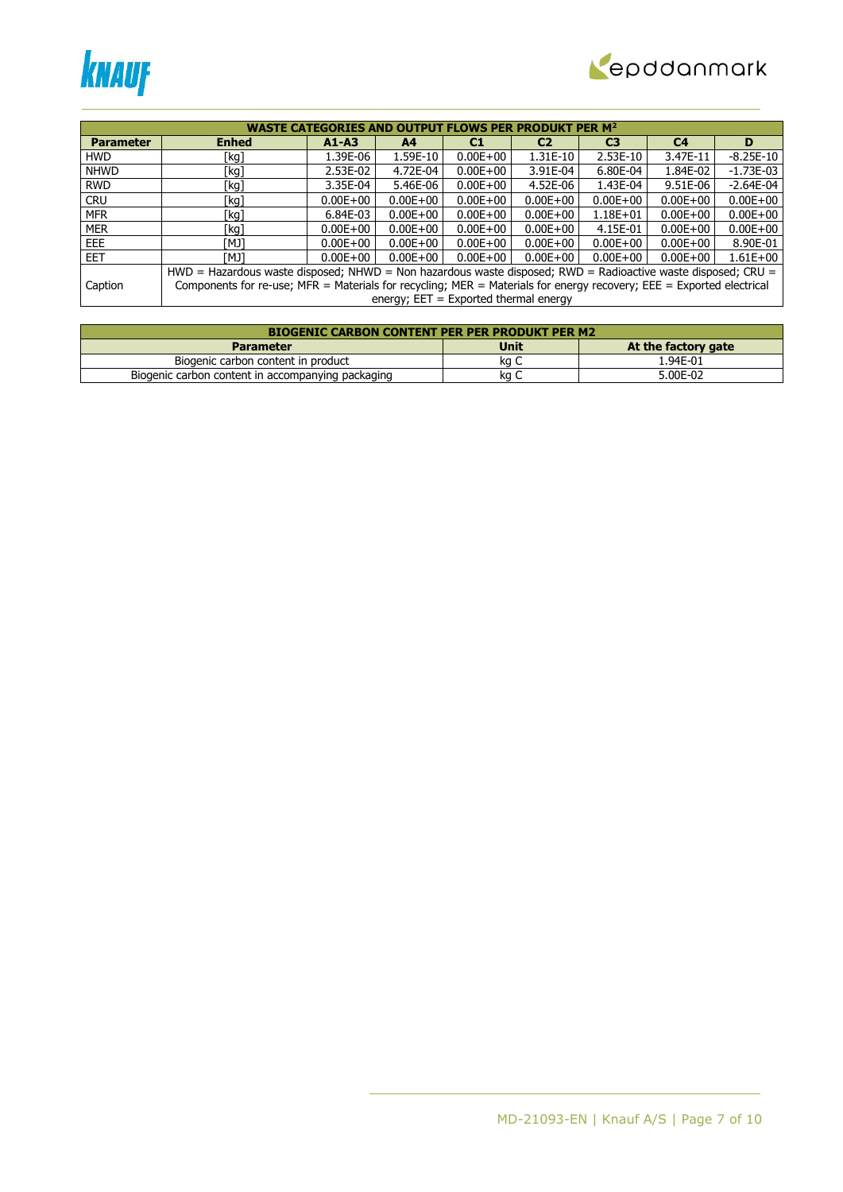



|                  | <b>WASTE CATEGORIES AND OUTPUT FLOWS PER PRODUKT PER M<sup>2</sup></b>                                               |              |                                         |              |                |                |                |              |  |  |
|------------------|----------------------------------------------------------------------------------------------------------------------|--------------|-----------------------------------------|--------------|----------------|----------------|----------------|--------------|--|--|
| <b>Parameter</b> | <b>Enhed</b>                                                                                                         | $A1 - A3$    | A <sub>4</sub>                          | C1           | C <sub>2</sub> | C <sub>3</sub> | C <sub>4</sub> | D            |  |  |
| <b>HWD</b>       | [kg]                                                                                                                 | 1.39E-06     | 1.59E-10                                | $0.00E + 00$ | 1.31E-10       | 2.53E-10       | 3.47E-11       | $-8.25E-10$  |  |  |
| <b>NHWD</b>      | [kg]                                                                                                                 | 2.53E-02     | 4.72E-04                                | $0.00E + 00$ | 3.91E-04       | 6.80E-04       | 1.84E-02       | $-1.73E-03$  |  |  |
| <b>RWD</b>       | [kg]                                                                                                                 | 3.35E-04     | 5.46E-06                                | $0.00E + 00$ | 4.52E-06       | 1.43E-04       | 9.51E-06       | $-2.64E-04$  |  |  |
| <b>CRU</b>       | [kg]                                                                                                                 | $0.00E + 00$ | $0.00E + 00$                            | $0.00E + 00$ | $0.00E + 00$   | $0.00E + 00$   | $0.00E + 00$   | $0.00E + 00$ |  |  |
| <b>MFR</b>       | [kg]                                                                                                                 | 6.84E-03     | $0.00E + 00$                            | $0.00E + 00$ | $0.00E + 00$   | $1.18E + 01$   | $0.00E + 00$   | $0.00E + 00$ |  |  |
| <b>MER</b>       | [kg]                                                                                                                 | $0.00E + 00$ | $0.00E + 00$                            | $0.00E + 00$ | $0.00E + 00$   | 4.15E-01       | $0.00E + 00$   | $0.00E + 00$ |  |  |
| EEE              | ונאז                                                                                                                 | $0.00E + 00$ | $0.00E + 00$                            | $0.00E + 00$ | $0.00E + 00$   | $0.00E + 00$   | $0.00E + 00$   | 8.90E-01     |  |  |
| <b>EET</b>       | ונאז                                                                                                                 | $0.00E + 00$ | $0.00E + 00$                            | $0.00E + 00$ | $0.00E + 00$   | $0.00E + 00$   | $0.00E + 00$   | $1.61E + 00$ |  |  |
|                  | HWD = Hazardous waste disposed; NHWD = Non hazardous waste disposed; RWD = Radioactive waste disposed; CRU =         |              |                                         |              |                |                |                |              |  |  |
| Caption          | Components for re-use; MFR = Materials for recycling; MER = Materials for energy recovery; EEE = Exported electrical |              |                                         |              |                |                |                |              |  |  |
|                  |                                                                                                                      |              | energy; $EET = Exported thermal energy$ |              |                |                |                |              |  |  |

| <b>BIOGENIC CARBON CONTENT PER PER PRODUKT PER M2</b> |      |                     |  |  |  |  |  |  |
|-------------------------------------------------------|------|---------------------|--|--|--|--|--|--|
| <b>Parameter</b>                                      | Unit | At the factory gate |  |  |  |  |  |  |
| Biogenic carbon content in product                    | ka c | 1.94E-01            |  |  |  |  |  |  |
| Biogenic carbon content in accompanying packaging     | κa   | 5.00E-02            |  |  |  |  |  |  |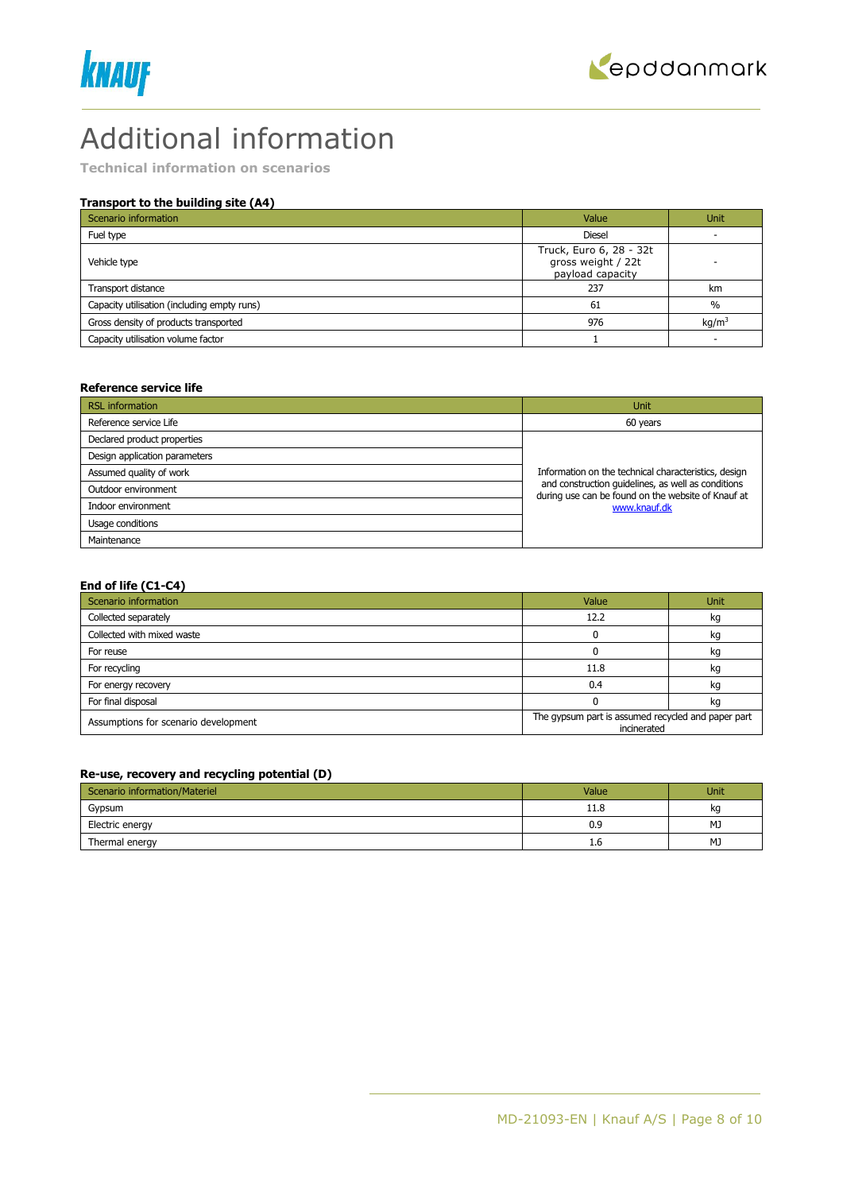



# Additional information

**Technical information on scenarios**

# **Transport to the building site (A4)**

| Scenario information                        | Value                                                             | <b>Unit</b>       |
|---------------------------------------------|-------------------------------------------------------------------|-------------------|
| Fuel type                                   | <b>Diesel</b>                                                     |                   |
| Vehicle type                                | Truck, Euro 6, 28 - 32t<br>gross weight / 22t<br>payload capacity |                   |
| Transport distance                          | 237                                                               | km                |
| Capacity utilisation (including empty runs) | 61                                                                | $\frac{0}{0}$     |
| Gross density of products transported       | 976                                                               | kq/m <sup>3</sup> |
| Capacity utilisation volume factor          |                                                                   |                   |

#### **Reference service life**

| <b>RSL</b> information        | Unit                                                                                                     |
|-------------------------------|----------------------------------------------------------------------------------------------------------|
| Reference service Life        | 60 years                                                                                                 |
| Declared product properties   |                                                                                                          |
| Design application parameters |                                                                                                          |
| Assumed quality of work       | Information on the technical characteristics, design                                                     |
| Outdoor environment           | and construction quidelines, as well as conditions<br>during use can be found on the website of Knauf at |
| Indoor environment            | www.knauf.dk                                                                                             |
| Usage conditions              |                                                                                                          |
| Maintenance                   |                                                                                                          |

#### **End of life (C1-C4)**

| Scenario information                 | Value                                                             | <b>Unit</b> |  |
|--------------------------------------|-------------------------------------------------------------------|-------------|--|
| Collected separately                 | 12.2                                                              | kg          |  |
| Collected with mixed waste           |                                                                   | kg          |  |
| For reuse                            |                                                                   | kg          |  |
| For recycling                        | 11.8                                                              | kg          |  |
| For energy recovery                  | 0.4                                                               | kg          |  |
| For final disposal                   |                                                                   | kg          |  |
| Assumptions for scenario development | The gypsum part is assumed recycled and paper part<br>incinerated |             |  |

#### **Re-use, recovery and recycling potential (D)**

| Scenario information/Materiel | Value | <b>Unit</b> |
|-------------------------------|-------|-------------|
| Gypsum                        | 11.8  | kq          |
| Electric energy               | 0.9   | MJ          |
| Thermal energy                | 1.6   | MJ          |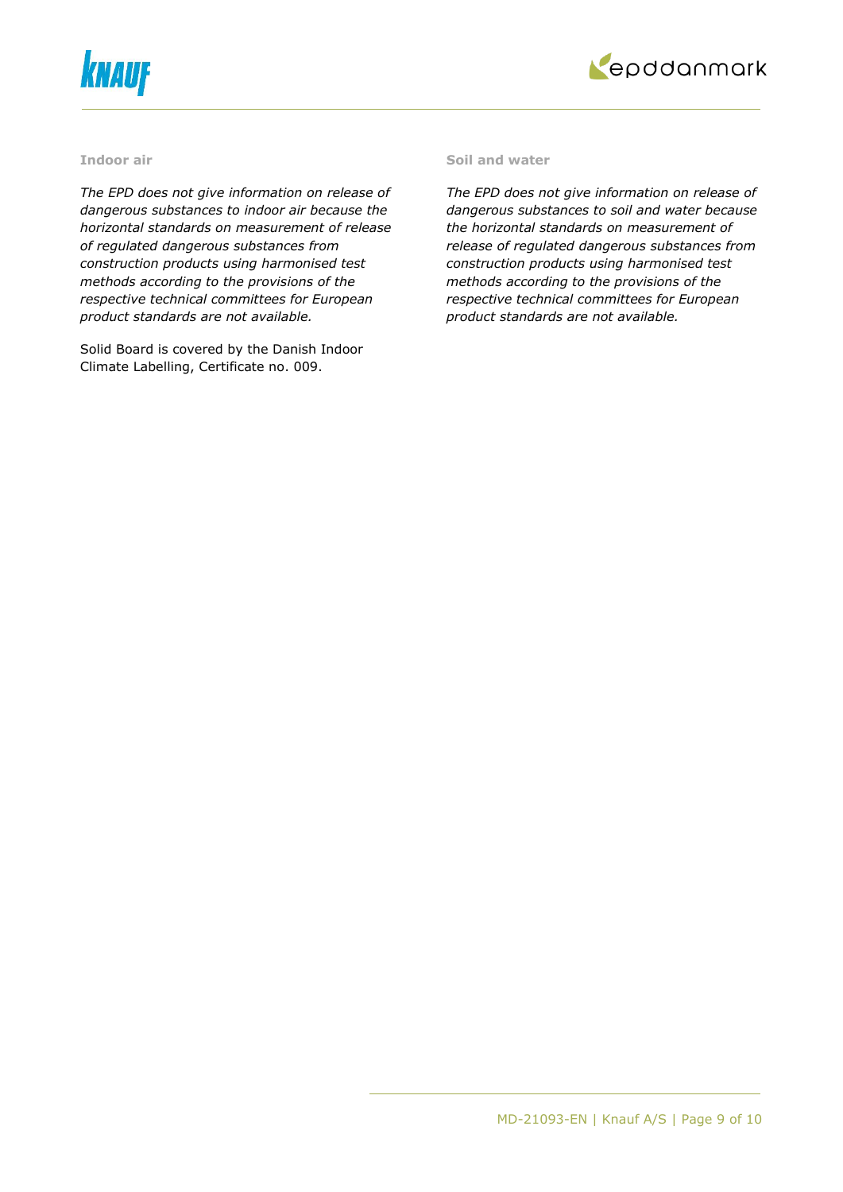



#### **Indoor air**

*The EPD does not give information on release of dangerous substances to indoor air because the horizontal standards on measurement of release of regulated dangerous substances from construction products using harmonised test methods according to the provisions of the respective technical committees for European product standards are not available.*

Solid Board is covered by the Danish Indoor Climate Labelling, Certificate no. 009.

#### **Soil and water**

*The EPD does not give information on release of dangerous substances to soil and water because the horizontal standards on measurement of release of regulated dangerous substances from construction products using harmonised test methods according to the provisions of the respective technical committees for European product standards are not available.*